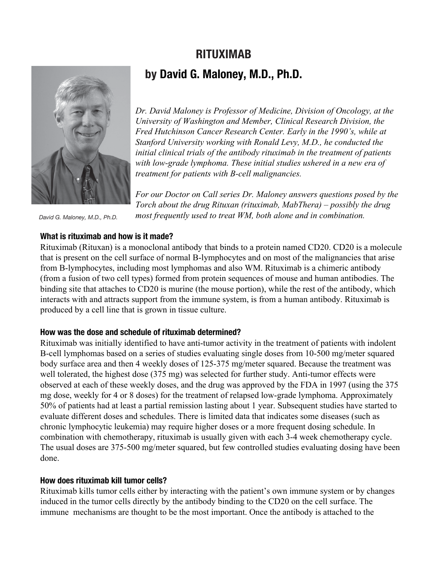# **RITUXIMAB by David G. Maloney, M.D., Ph.D.**



*Dr. David Maloney is Professor of Medicine, Division of Oncology, at the University of Washington and Member, Clinical Research Division, the Fred Hutchinson Cancer Research Center. Early in the 1990's, while at Stanford University working with Ronald Levy, M.D., he conducted the initial clinical trials of the antibody rituximab in the treatment of patients with low-grade lymphoma. These initial studies ushered in a new era of treatment for patients with B-cell malignancies.*

*For our Doctor on Call series Dr. Maloney answers questions posed by the Torch about the drug Rituxan (rituximab, MabThera) – possibly the drug most frequently used to treat WM, both alone and in combination.*

*David G. Maloney, M.D., Ph.D.*

# **What is rituximab and how is it made?**

Rituximab (Rituxan) is a monoclonal antibody that binds to a protein named CD20. CD20 is a molecule that is present on the cell surface of normal B-lymphocytes and on most of the malignancies that arise from B-lymphocytes, including most lymphomas and also WM. Rituximab is a chimeric antibody (from a fusion of two cell types) formed from protein sequences of mouse and human antibodies. The binding site that attaches to CD20 is murine (the mouse portion), while the rest of the antibody, which interacts with and attracts support from the immune system, is from a human antibody. Rituximab is produced by a cell line that is grown in tissue culture.

# **How was the dose and schedule of rituximab determined?**

Rituximab was initially identified to have anti-tumor activity in the treatment of patients with indolent B-cell lymphomas based on a series of studies evaluating single doses from 10-500 mg/meter squared body surface area and then 4 weekly doses of 125-375 mg/meter squared. Because the treatment was well tolerated, the highest dose (375 mg) was selected for further study. Anti-tumor effects were observed at each of these weekly doses, and the drug was approved by the FDA in 1997 (using the 375 mg dose, weekly for 4 or 8 doses) for the treatment of relapsed low-grade lymphoma. Approximately 50% of patients had at least a partial remission lasting about 1 year. Subsequent studies have started to evaluate different doses and schedules. There is limited data that indicates some diseases (such as chronic lymphocytic leukemia) may require higher doses or a more frequent dosing schedule. In combination with chemotherapy, rituximab is usually given with each 3-4 week chemotherapy cycle. The usual doses are 375-500 mg/meter squared, but few controlled studies evaluating dosing have been done.

# **How does rituximab kill tumor cells?**

Rituximab kills tumor cells either by interacting with the patient's own immune system or by changes induced in the tumor cells directly by the antibody binding to the CD20 on the cell surface. The immune mechanisms are thought to be the most important. Once the antibody is attached to the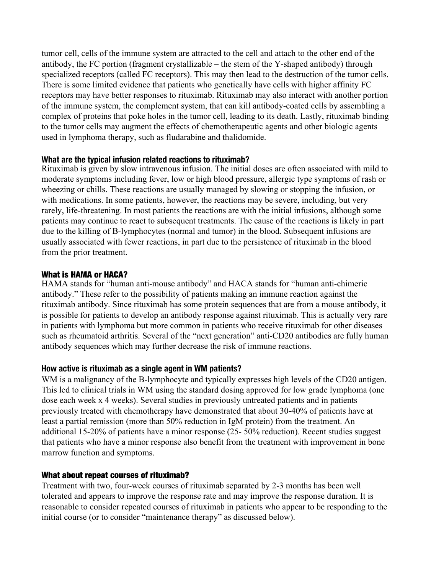tumor cell, cells of the immune system are attracted to the cell and attach to the other end of the antibody, the FC portion (fragment crystallizable – the stem of the Y-shaped antibody) through specialized receptors (called FC receptors). This may then lead to the destruction of the tumor cells. There is some limited evidence that patients who genetically have cells with higher affinity FC receptors may have better responses to rituximab. Rituximab may also interact with another portion of the immune system, the complement system, that can kill antibody-coated cells by assembling a complex of proteins that poke holes in the tumor cell, leading to its death. Lastly, rituximab binding to the tumor cells may augment the effects of chemotherapeutic agents and other biologic agents used in lymphoma therapy, such as fludarabine and thalidomide.

#### **What are the typical infusion related reactions to rituximab?**

Rituximab is given by slow intravenous infusion. The initial doses are often associated with mild to moderate symptoms including fever, low or high blood pressure, allergic type symptoms of rash or wheezing or chills. These reactions are usually managed by slowing or stopping the infusion, or with medications. In some patients, however, the reactions may be severe, including, but very rarely, life-threatening. In most patients the reactions are with the initial infusions, although some patients may continue to react to subsequent treatments. The cause of the reactions is likely in part due to the killing of B-lymphocytes (normal and tumor) in the blood. Subsequent infusions are usually associated with fewer reactions, in part due to the persistence of rituximab in the blood from the prior treatment.

# What is HAMA or HACA?

HAMA stands for "human anti-mouse antibody" and HACA stands for "human anti-chimeric antibody." These refer to the possibility of patients making an immune reaction against the rituximab antibody. Since rituximab has some protein sequences that are from a mouse antibody, it is possible for patients to develop an antibody response against rituximab. This is actually very rare in patients with lymphoma but more common in patients who receive rituximab for other diseases such as rheumatoid arthritis. Several of the "next generation" anti-CD20 antibodies are fully human antibody sequences which may further decrease the risk of immune reactions.

# **How active is rituximab as a single agent in WM patients?**

WM is a malignancy of the B-lymphocyte and typically expresses high levels of the CD20 antigen. This led to clinical trials in WM using the standard dosing approved for low grade lymphoma (one dose each week x 4 weeks). Several studies in previously untreated patients and in patients previously treated with chemotherapy have demonstrated that about 30-40% of patients have at least a partial remission (more than 50% reduction in IgM protein) from the treatment. An additional 15-20% of patients have a minor response (25- 50% reduction). Recent studies suggest that patients who have a minor response als[o benefit from](http://stage-iwmf.newtarget.net/sites/default/files/docs/Torch_2014_3_August.pdf) the treatment with improvement in bone marrow function and symptoms.

# What about repeat courses of rituximab?

Treatment with two, four-week courses of rituximab separated by 2-3 months has been well tolerated and appears to improve the response rate and may improve the response duration. It is reasonable to consider repeated courses of rituximab in patients who appear to be responding to the initial course (or to consider "maintenance therapy" as discussed below).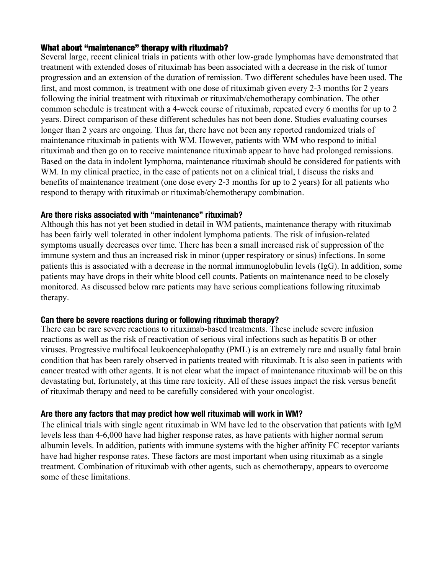#### What about "maintenance" therapy with rituximab?

Several large, recent clinical trials in patients with other low-grade lymphomas have demonstrated that treatment with extended doses of rituximab has been associated with a decrease in the risk of tumor progression and an extension of the duration of remission. Two different schedules have been used. The first, and most common, is treatment with one dose of rituximab given every 2-3 months for 2 years following the initial treatment with rituximab or rituximab/chemotherapy combination. The other common schedule is treatment with a 4-week course of rituximab, repeated every 6 months for up to 2 years. Direct comparison of these different schedules has not been done. Studies evaluating courses longer than 2 years are ongoing. Thus far, there have not been any reported randomized trials of maintenance rituximab in patients with WM. However, patients with WM who respond to initial rituximab and then go on to receive maintenance rituximab appear to have had prolonged remissions. Based on the data in indolent lymphoma, maintenance rituximab should be considered for patients with WM. In my clinical practice, in the case of patients not on a clinical trial, I discuss the risks and benefits of maintenance treatment (one dose every 2-3 months for up to 2 years) for all patients who respond to therapy with rituximab or rituximab/chemotherapy combination.

#### **Are there risks associated with "maintenance" rituximab?**

Although this has not yet been studied in detail in WM patients, maintenance therapy with rituximab has been fairly well tolerated in other indolent lymphoma patients. The risk of infusion-related symptoms usually decreases over time. There has been a small increased risk of suppression of the immune system and thus an increased risk in minor (upper respiratory or sinus) infections. In some patients this is associated with a decrease in the normal immunoglobulin levels (IgG). In addition, some patients may have drops in their white blood cell counts. Patients on maintenance need to be closely monitored. As discussed below rare patients may have serious complications following rituximab therapy.

#### **Can there be severe reactions during or following rituximab therapy?**

There can be rare severe reactions to rituximab-based treatments. These include severe infusion reactions as well as the risk of reactivation of serious viral infections such as hepatitis B or other viruses. Progressive multifocal leukoencephalopathy (PML) is an extremely rare and usually fatal brain condition that has been rarely observed in patients treated with rituximab. It is also seen in patients with cancer treated with other agents. It is not clear what the impact of maintenance rituximab will be on this devastating but, fortunately, at this time rare tox[icity. All o](http://stage-iwmf.newtarget.net/sites/default/files/docs/Torch2008-4.pdf)f these issues impact the risk versus benefit of rituximab therapy and need to be carefully considered with your oncologist.

# **Are there any factors that may predict how well rituximab will work in WM?**

The clinical trials with single agent rituximab in WM have led to the observation that patients with IgM levels less than 4-6,000 have had higher response rates, as have patients with higher normal serum albumin levels. In addition, patients with immune systems with the higher affinity FC receptor variants have had higher response rates. These factors are most important when using rituximab as a single treatment. Combination of rituximab with other agents, such as chemotherapy, appears to overcome some of these limitations.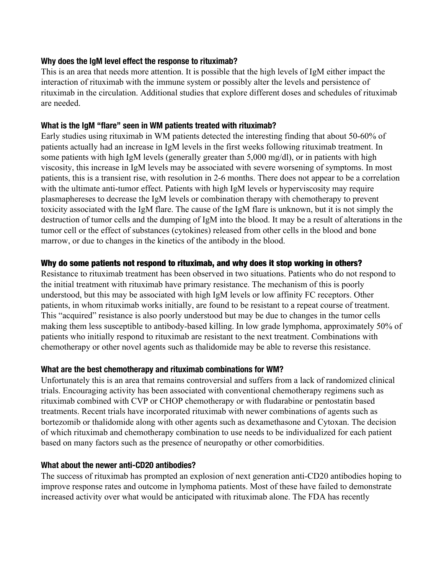# **Why does the IgM level effect the response to rituximab?**

This is an area that needs more attention. It is possible that the high levels of IgM either impact the interaction of rituximab with the immune system or possibly alter the levels and persistence of rituximab in the circulation. Additional studies that explore different doses and schedules of rituximab are needed.

# **What is the IgM "flare" seen in WM patients treated with rituximab?**

Early studies using rituximab in WM patients detected the interesting finding that about 50-60% of patients actually had an increase in IgM levels in the first weeks following rituximab treatment. In some patients with high IgM levels (generally greater than 5,000 mg/dl), or in patients with high viscosity, this increase in IgM levels may be associated with severe worsening of symptoms. In most patients, this is a transient rise, with resolution in 2-6 months. There does not appear to be a correlation with the ultimate anti-tumor effect. Patients with high IgM levels or hyperviscosity may require plasmaphereses to decrease the IgM levels or combination therapy with chemotherapy to prevent toxicity associated with the IgM flare. The cause of the IgM flare is unknown, but it is not simply the destruction of tumor cells and the dumping of IgM into the blood. It may be a result of alterations in the tumor cell or the effect of substances (cytokines) released from other cells in the blood and bone marrow, or due to changes in the kinetics of the antibody in the blood.

# Why do some patients not respond to rituximab, and why does it stop working in others?

Resistance to rituximab treatment has been observed in two situations. Patients who do not respond to the initial treatment with rituximab have primary resistance. The mechanism of this is poorly understood, but this may be associated with high IgM levels or low affinity FC receptors. Other patients, in whom rituximab works initially, are fo[und to be resis](http://stage-iwmf.newtarget.net/sites/default/files/docs/Torch2010-2.pdf)tant to a repeat course of treatment. This "acquired" resistance is also poorly understood but may be due to changes in the tumor cells making them less susceptible to antibody-based killing. In low grade lymphoma, approximately 50% of patients who initially respond to rituximab are resistant to the next treatment. Combinations with chemotherapy or other novel agents such as thalidomide may be able to reverse this resistance.

# **What are the best chemotherapy and rituximab combinations for WM?**

Unfortunately this is an area that remains controversial and suffers from a lack of randomized clinical trials. Encouraging activity has been associated with conventional chemotherapy regimens such as rituximab combined with CVP or CHOP chemotherapy or with fludarabine or pentostatin based treatments. Recent trials have incorporated rituximab with newer combinations of agents such as bortezomib or thalidomide along with other agents such as dexamethasone and Cytoxan. The decision of which rituximab and chemotherapy combination to use needs to be individualized for each patient based on many factors such as the presence of neuropathy or other comorbidities.

# **What about the newer anti-CD20 antibodies?**

The success of rituximab has prompted an explosion of next generation anti-CD20 antibodies hoping to improve response rates and outcome in lymphoma patients. Most of these have failed to demonstrate increased activity over what would be anticipated with rituximab alone. The FDA has recently